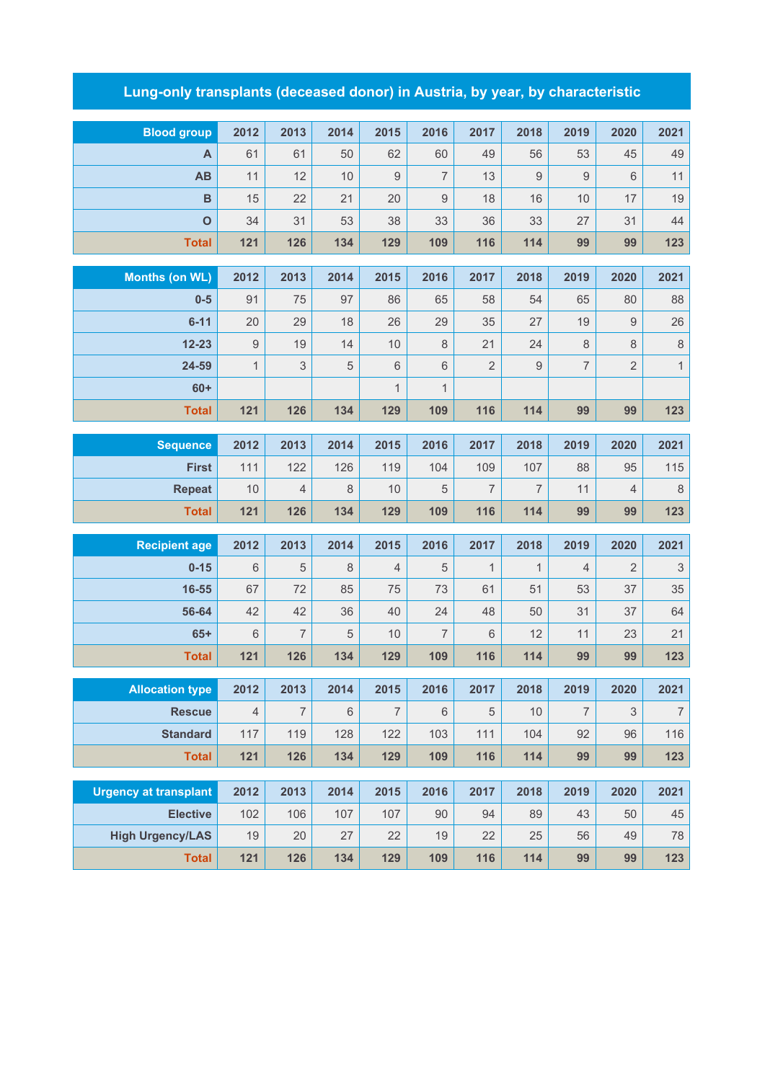## **Lung-only transplants (deceased donor) in Austria, by year, by characteristic**

| <b>Blood group</b>           | 2012           | 2013           | 2014    | 2015           | 2016           | 2017           | 2018             | 2019             | 2020           | 2021                      |
|------------------------------|----------------|----------------|---------|----------------|----------------|----------------|------------------|------------------|----------------|---------------------------|
| A                            | 61             | 61             | 50      | 62             | 60             | 49             | 56               | 53               | 45             | 49                        |
| AB                           | 11             | 12             | 10      | $\overline{9}$ | $\overline{7}$ | 13             | $\boldsymbol{9}$ | $\boldsymbol{9}$ | 6              | 11                        |
| $\mathbf B$                  | 15             | 22             | 21      | 20             | 9              | 18             | 16               | 10               | 17             | 19                        |
| $\mathbf{o}$                 | 34             | 31             | 53      | 38             | 33             | 36             | 33               | 27               | 31             | 44                        |
| <b>Total</b>                 | 121            | 126            | 134     | 129            | 109            | 116            | 114              | 99               | 99             | 123                       |
|                              |                |                |         |                |                |                |                  |                  |                |                           |
| <b>Months (on WL)</b>        | 2012           | 2013           | 2014    | 2015           | 2016           | 2017           | 2018             | 2019             | 2020           | 2021                      |
| $0-5$                        | 91             | 75             | 97      | 86             | 65             | 58             | 54               | 65               | 80             | 88                        |
| $6 - 11$                     | 20             | 29             | 18      | 26             | 29             | 35             | 27               | 19               | 9              | 26                        |
| $12 - 23$                    | 9              | 19             | 14      | 10             | 8              | 21             | 24               | 8                | 8              | $\,8\,$                   |
| 24-59                        | $\mathbf{1}$   | $\sqrt{3}$     | 5       | 6              | $\,6\,$        | $\overline{2}$ | $\boldsymbol{9}$ | $\overline{7}$   | $\overline{2}$ | $\mathbf{1}$              |
| $60+$                        |                |                |         | $\mathbf{1}$   | $\mathbf{1}$   |                |                  |                  |                |                           |
| <b>Total</b>                 | 121            | 126            | 134     | 129            | 109            | 116            | 114              | 99               | 99             | 123                       |
| <b>Sequence</b>              | 2012           | 2013           | 2014    | 2015           | 2016           | 2017           | 2018             | 2019             | 2020           | 2021                      |
| <b>First</b>                 | 111            | 122            | 126     | 119            | 104            | 109            | 107              | 88               | 95             | 115                       |
| <b>Repeat</b>                | 10             | $\overline{4}$ | $\,8\,$ | 10             | 5              | $\overline{7}$ | $\overline{7}$   | 11               | $\overline{4}$ | $\,8\,$                   |
| <b>Total</b>                 | 121            | 126            | 134     | 129            | 109            | 116            | 114              | 99               | 99             | 123                       |
|                              |                |                |         |                |                |                |                  |                  |                |                           |
| <b>Recipient age</b>         | 2012           | 2013           | 2014    | 2015           | 2016           | 2017           | 2018             | 2019             | 2020           | 2021                      |
| $0 - 15$                     | 6              | $\sqrt{5}$     | $\,8\,$ | $\overline{4}$ | 5              | $\mathbf{1}$   | $\mathbf{1}$     | 4                | $\sqrt{2}$     | $\ensuremath{\mathsf{3}}$ |
| 16-55                        | 67             | 72             | 85      | 75             | 73             | 61             | 51               | 53               | 37             | 35                        |
| 56-64                        | 42             | 42             | 36      | 40             | 24             | 48             | 50               | 31               | 37             | 64                        |
| $65+$                        | 6              | 7              | 5       | 10             | 7              | 6              | 12               | 11               | 23             | 21                        |
| <b>Total</b>                 | 121            | 126            | 134     | 129            | 109            | 116            | 114              | 99               | 99             | 123                       |
| <b>Allocation type</b>       | 2012           | 2013           | 2014    | 2015           | 2016           | 2017           | 2018             | 2019             | 2020           | 2021                      |
| <b>Rescue</b>                | $\overline{4}$ | 7              | $\,6$   | $\overline{7}$ | $6\,$          | $\sqrt{5}$     | 10               | $\overline{7}$   | $\sqrt{3}$     | $\overline{\mathcal{I}}$  |
| <b>Standard</b>              | 117            | 119            | 128     | 122            | 103            | 111            | 104              | 92               | 96             | 116                       |
| <b>Total</b>                 | 121            | 126            | 134     | 129            | 109            | 116            | 114              | 99               | 99             | 123                       |
|                              |                |                |         |                |                |                |                  |                  |                |                           |
| <b>Urgency at transplant</b> | 2012           | 2013           | 2014    | 2015           | 2016           | 2017           | 2018             | 2019             | 2020           | 2021                      |
| <b>Elective</b>              | 102            | 106            | 107     | 107            | 90             | 94             | 89               | 43               | 50             | 45                        |
| <b>High Urgency/LAS</b>      | 19             | 20             | 27      | 22             | 19             | 22             | 25               | 56               | 49             | 78                        |
| <b>Total</b>                 | 121            | 126            | 134     | 129            | 109            | 116            | 114              | 99               | 99             | 123                       |